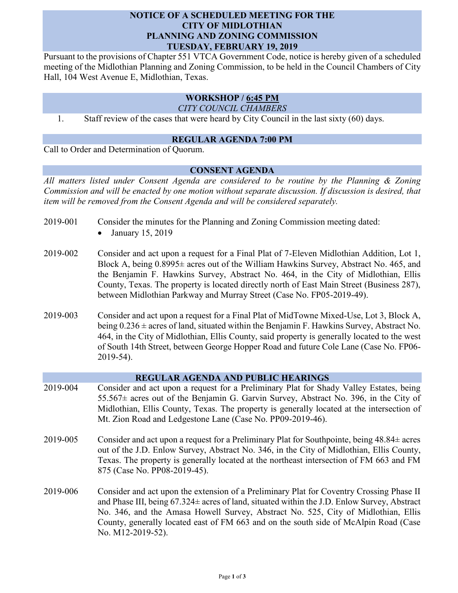# **NOTICE OF A SCHEDULED MEETING FOR THE CITY OF MIDLOTHIAN PLANNING AND ZONING COMMISSION TUESDAY, FEBRUARY 19, 2019**

Pursuant to the provisions of Chapter 551 VTCA Government Code, notice is hereby given of a scheduled meeting of the Midlothian Planning and Zoning Commission, to be held in the Council Chambers of City Hall, 104 West Avenue E, Midlothian, Texas.

# **WORKSHOP / 6:45 PM**

*CITY COUNCIL CHAMBERS*

1. Staff review of the cases that were heard by City Council in the last sixty (60) days.

## **REGULAR AGENDA 7:00 PM**

Call to Order and Determination of Quorum.

# **CONSENT AGENDA**

*All matters listed under Consent Agenda are considered to be routine by the Planning & Zoning Commission and will be enacted by one motion without separate discussion. If discussion is desired, that item will be removed from the Consent Agenda and will be considered separately.*

- 2019-001 Consider the minutes for the Planning and Zoning Commission meeting dated:
	- $\bullet$  January 15, 2019
- 2019-002 Consider and act upon a request for a Final Plat of 7-Eleven Midlothian Addition, Lot 1, Block A, being 0.8995± acres out of the William Hawkins Survey, Abstract No. 465, and the Benjamin F. Hawkins Survey, Abstract No. 464, in the City of Midlothian, Ellis County, Texas. The property is located directly north of East Main Street (Business 287), between Midlothian Parkway and Murray Street (Case No. FP05-2019-49).
- 2019-003 Consider and act upon a request for a Final Plat of MidTowne Mixed-Use, Lot 3, Block A, being  $0.236 \pm \text{acres of land},$  situated within the Benjamin F. Hawkins Survey, Abstract No. 464, in the City of Midlothian, Ellis County, said property is generally located to the west of South 14th Street, between George Hopper Road and future Cole Lane (Case No. FP06- 2019-54).

### **REGULAR AGENDA AND PUBLIC HEARINGS**

- 2019-004 Consider and act upon a request for a Preliminary Plat for Shady Valley Estates, being 55.567± acres out of the Benjamin G. Garvin Survey, Abstract No. 396, in the City of Midlothian, Ellis County, Texas. The property is generally located at the intersection of Mt. Zion Road and Ledgestone Lane (Case No. PP09-2019-46).
- 2019-005 Consider and act upon a request for a Preliminary Plat for Southpointe, being  $48.84 \pm \text{acres}$ out of the J.D. Enlow Survey, Abstract No. 346, in the City of Midlothian, Ellis County, Texas. The property is generally located at the northeast intersection of FM 663 and FM 875 (Case No. PP08-2019-45).
- 2019-006 Consider and act upon the extension of a Preliminary Plat for Coventry Crossing Phase II and Phase III, being 67.324± acres of land, situated within the J.D. Enlow Survey, Abstract No. 346, and the Amasa Howell Survey, Abstract No. 525, City of Midlothian, Ellis County, generally located east of FM 663 and on the south side of McAlpin Road (Case No. M12-2019-52).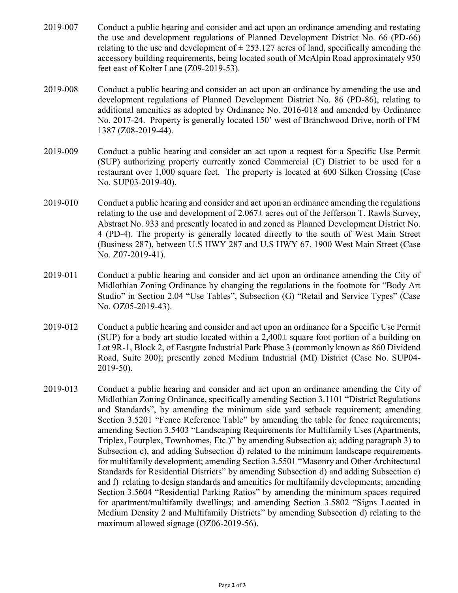- 2019-007 Conduct a public hearing and consider and act upon an ordinance amending and restating the use and development regulations of Planned Development District No. 66 (PD-66) relating to the use and development of  $\pm$  253.127 acres of land, specifically amending the accessory building requirements, being located south of McAlpin Road approximately 950 feet east of Kolter Lane (Z09-2019-53).
- 2019-008 Conduct a public hearing and consider an act upon an ordinance by amending the use and development regulations of Planned Development District No. 86 (PD-86), relating to additional amenities as adopted by Ordinance No. 2016-018 and amended by Ordinance No. 2017-24. Property is generally located 150' west of Branchwood Drive, north of FM 1387 (Z08-2019-44).
- 2019-009 Conduct a public hearing and consider an act upon a request for a Specific Use Permit (SUP) authorizing property currently zoned Commercial (C) District to be used for a restaurant over 1,000 square feet. The property is located at 600 Silken Crossing (Case No. SUP03-2019-40).
- 2019-010 Conduct a public hearing and consider and act upon an ordinance amending the regulations relating to the use and development of  $2.067\pm$  acres out of the Jefferson T. Rawls Survey, Abstract No. 933 and presently located in and zoned as Planned Development District No. 4 (PD-4). The property is generally located directly to the south of West Main Street (Business 287), between U.S HWY 287 and U.S HWY 67. 1900 West Main Street (Case No. Z07-2019-41).
- 2019-011 Conduct a public hearing and consider and act upon an ordinance amending the City of Midlothian Zoning Ordinance by changing the regulations in the footnote for "Body Art Studio" in Section 2.04 "Use Tables", Subsection (G) "Retail and Service Types" (Case No. OZ05-2019-43).
- 2019-012 Conduct a public hearing and consider and act upon an ordinance for a Specific Use Permit (SUP) for a body art studio located within a  $2,400\pm$  square foot portion of a building on Lot 9R-1, Block 2, of Eastgate Industrial Park Phase 3 (commonly known as 860 Dividend Road, Suite 200); presently zoned Medium Industrial (MI) District (Case No. SUP04- 2019-50).
- 2019-013 Conduct a public hearing and consider and act upon an ordinance amending the City of Midlothian Zoning Ordinance, specifically amending Section 3.1101 "District Regulations and Standards", by amending the minimum side yard setback requirement; amending Section 3.5201 "Fence Reference Table" by amending the table for fence requirements; amending Section 3.5403 "Landscaping Requirements for Multifamily Uses (Apartments, Triplex, Fourplex, Townhomes, Etc.)" by amending Subsection a); adding paragraph 3) to Subsection c), and adding Subsection d) related to the minimum landscape requirements for multifamily development; amending Section 3.5501 "Masonry and Other Architectural Standards for Residential Districts" by amending Subsection d) and adding Subsection e) and f) relating to design standards and amenities for multifamily developments; amending Section 3.5604 "Residential Parking Ratios" by amending the minimum spaces required for apartment/multifamily dwellings; and amending Section 3.5802 "Signs Located in Medium Density 2 and Multifamily Districts" by amending Subsection d) relating to the maximum allowed signage (OZ06-2019-56).